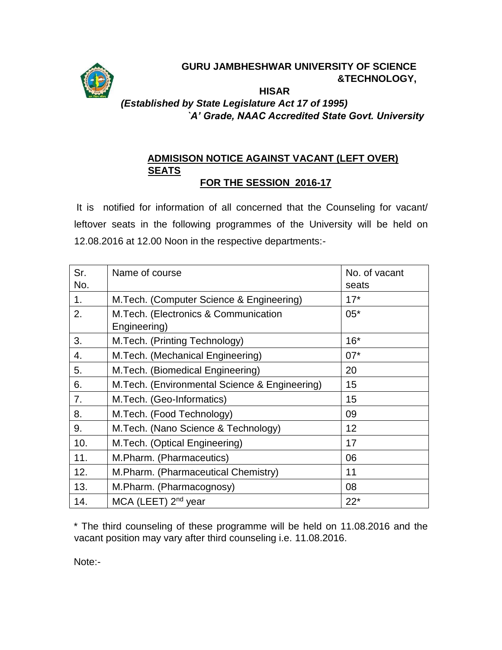

### **GURU JAMBHESHWAR UNIVERSITY OF SCIENCE &TECHNOLOGY, HISAR**

# *(Established by State Legislature Act 17 of 1995) `A' Grade, NAAC Accredited State Govt. University*

### **ADMISISON NOTICE AGAINST VACANT (LEFT OVER) SEATS FOR THE SESSION 2016-17**

It is notified for information of all concerned that the Counseling for vacant/ leftover seats in the following programmes of the University will be held on 12.08.2016 at 12.00 Noon in the respective departments:-

| Sr.            | Name of course                                        | No. of vacant |
|----------------|-------------------------------------------------------|---------------|
| No.            |                                                       | seats         |
| 1 <sub>1</sub> | M.Tech. (Computer Science & Engineering)              | $17*$         |
| 2.             | M. Tech. (Electronics & Communication<br>Engineering) | $05*$         |
| 3.             | M.Tech. (Printing Technology)                         | $16*$         |
| 4.             | M.Tech. (Mechanical Engineering)                      | $07*$         |
| 5.             | M.Tech. (Biomedical Engineering)                      | 20            |
| 6.             | M. Tech. (Environmental Science & Engineering)        | 15            |
| 7.             | M.Tech. (Geo-Informatics)                             | 15            |
| 8.             | M.Tech. (Food Technology)                             | 09            |
| 9.             | M. Tech. (Nano Science & Technology)                  | 12            |
| 10.            | M.Tech. (Optical Engineering)                         | 17            |
| 11.            | M.Pharm. (Pharmaceutics)                              | 06            |
| 12.            | M.Pharm. (Pharmaceutical Chemistry)                   | 11            |
| 13.            | M.Pharm. (Pharmacognosy)                              | 08            |
| 14.            | MCA (LEET) 2 <sup>nd</sup> year                       | $22*$         |

\* The third counseling of these programme will be held on 11.08.2016 and the vacant position may vary after third counseling i.e. 11.08.2016.

Note:-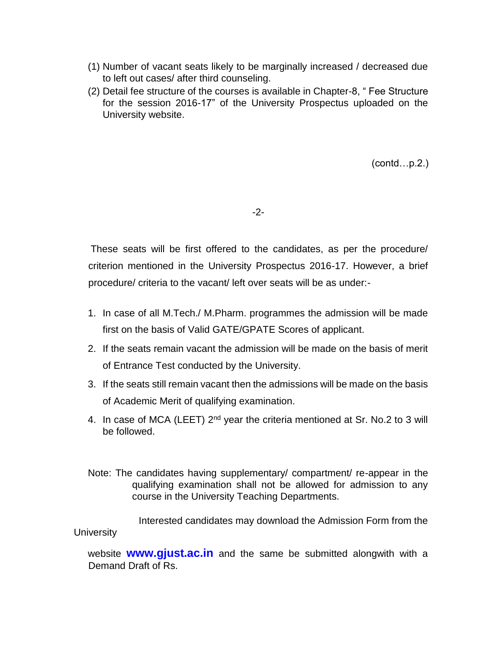- (1) Number of vacant seats likely to be marginally increased / decreased due to left out cases/ after third counseling.
- (2) Detail fee structure of the courses is available in Chapter-8, " Fee Structure for the session 2016-17" of the University Prospectus uploaded on the University website.

(contd…p.2.)

-2-

These seats will be first offered to the candidates, as per the procedure/ criterion mentioned in the University Prospectus 2016-17. However, a brief procedure/ criteria to the vacant/ left over seats will be as under:-

- 1. In case of all M.Tech./ M.Pharm. programmes the admission will be made first on the basis of Valid GATE/GPATE Scores of applicant.
- 2. If the seats remain vacant the admission will be made on the basis of merit of Entrance Test conducted by the University.
- 3. If the seats still remain vacant then the admissions will be made on the basis of Academic Merit of qualifying examination.
- 4. In case of MCA (LEET) 2<sup>nd</sup> year the criteria mentioned at Sr. No.2 to 3 will be followed.
- Note: The candidates having supplementary/ compartment/ re-appear in the qualifying examination shall not be allowed for admission to any course in the University Teaching Departments.

Interested candidates may download the Admission Form from the **University** 

website **[www.gjust.ac.in](http://www.gjust.ac.in/)** and the same be submitted alongwith with a Demand Draft of Rs.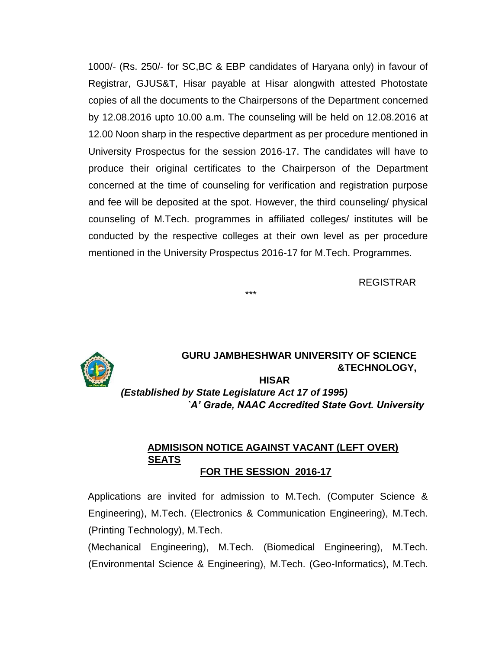1000/- (Rs. 250/- for SC,BC & EBP candidates of Haryana only) in favour of Registrar, GJUS&T, Hisar payable at Hisar alongwith attested Photostate copies of all the documents to the Chairpersons of the Department concerned by 12.08.2016 upto 10.00 a.m. The counseling will be held on 12.08.2016 at 12.00 Noon sharp in the respective department as per procedure mentioned in University Prospectus for the session 2016-17. The candidates will have to produce their original certificates to the Chairperson of the Department concerned at the time of counseling for verification and registration purpose and fee will be deposited at the spot. However, the third counseling/ physical counseling of M.Tech. programmes in affiliated colleges/ institutes will be conducted by the respective colleges at their own level as per procedure mentioned in the University Prospectus 2016-17 for M.Tech. Programmes.

\*\*\*

REGISTRAR



## **GURU JAMBHESHWAR UNIVERSITY OF SCIENCE &TECHNOLOGY,**

**HISAR**  *(Established by State Legislature Act 17 of 1995) `A' Grade, NAAC Accredited State Govt. University* 

### **ADMISISON NOTICE AGAINST VACANT (LEFT OVER) SEATS FOR THE SESSION 2016-17**

Applications are invited for admission to M.Tech. (Computer Science & Engineering), M.Tech. (Electronics & Communication Engineering), M.Tech. (Printing Technology), M.Tech.

(Mechanical Engineering), M.Tech. (Biomedical Engineering), M.Tech. (Environmental Science & Engineering), M.Tech. (Geo-Informatics), M.Tech.